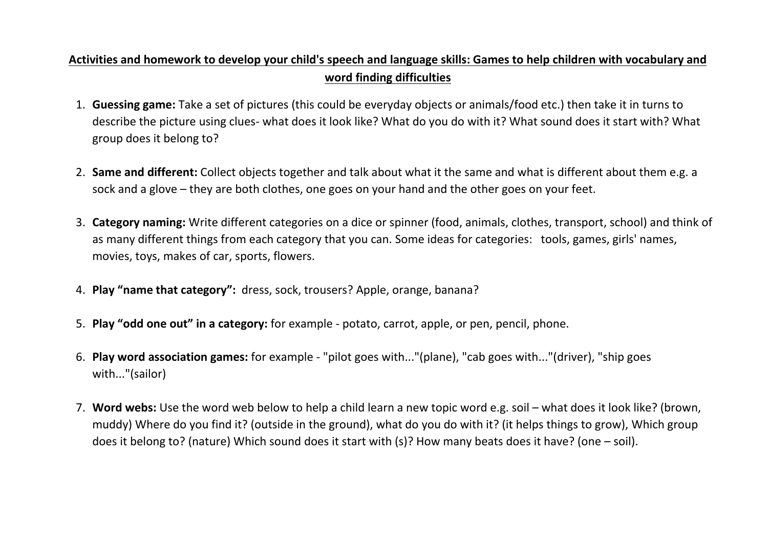## **Activities and homework to develop your child's speech and language skills: Games to help children with vocabulary and word finding difficulties**

- 1. **Guessing game:** Take a set of pictures (this could be everyday objects or animals/food etc.) then take it in turns to describe the picture using clues- what does it look like? What do you do with it? What sound does it start with? What group does it belong to?
- 2. **Same and different:** Collect objects together and talk about what it the same and what is different about them e.g. a sock and a glove – they are both clothes, one goes on your hand and the other goes on your feet.
- 3. **Category naming:** Write different categories on a dice or spinner (food, animals, clothes, transport, school) and think of as many different things from each category that you can. Some ideas for categories: tools, games, girls' names, movies, toys, makes of car, sports, flowers.
- 4. **Play "name that category":** dress, sock, trousers? Apple, orange, banana?
- 5. **Play "odd one out" in a category:** for example potato, carrot, apple, or pen, pencil, phone.
- 6. **Play word association games:** for example "pilot goes with..."(plane), "cab goes with..."(driver), "ship goes with..."(sailor)
- 7. **Word webs:** Use the word web below to help a child learn a new topic word e.g. soil what does it look like? (brown, muddy) Where do you find it? (outside in the ground), what do you do with it? (it helps things to grow), Which group does it belong to? (nature) Which sound does it start with (s)? How many beats does it have? (one – soil).